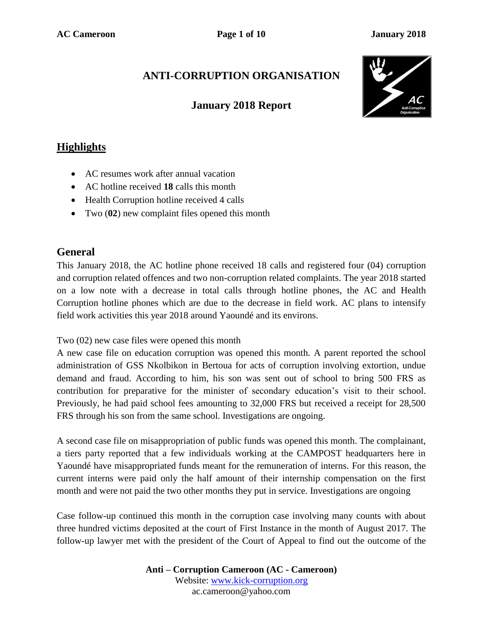# **ANTI-CORRUPTION ORGANISATION**

### **January 2018 Report**



### **Highlights**

- AC resumes work after annual vacation
- AC hotline received **18** calls this month
- Health Corruption hotline received 4 calls
- Two (**02**) new complaint files opened this month

### **General**

This January 2018, the AC hotline phone received 18 calls and registered four (04) corruption and corruption related offences and two non-corruption related complaints. The year 2018 started on a low note with a decrease in total calls through hotline phones, the AC and Health Corruption hotline phones which are due to the decrease in field work. AC plans to intensify field work activities this year 2018 around Yaoundé and its environs.

#### Two (02) new case files were opened this month

A new case file on education corruption was opened this month. A parent reported the school administration of GSS Nkolbikon in Bertoua for acts of corruption involving extortion, undue demand and fraud. According to him, his son was sent out of school to bring 500 FRS as contribution for preparative for the minister of secondary education's visit to their school. Previously, he had paid school fees amounting to 32,000 FRS but received a receipt for 28,500 FRS through his son from the same school. Investigations are ongoing.

A second case file on misappropriation of public funds was opened this month. The complainant, a tiers party reported that a few individuals working at the CAMPOST headquarters here in Yaoundé have misappropriated funds meant for the remuneration of interns. For this reason, the current interns were paid only the half amount of their internship compensation on the first month and were not paid the two other months they put in service. Investigations are ongoing

Case follow-up continued this month in the corruption case involving many counts with about three hundred victims deposited at the court of First Instance in the month of August 2017. The follow-up lawyer met with the president of the Court of Appeal to find out the outcome of the

> **Anti – Corruption Cameroon (AC - Cameroon)** Website: [www.kick-corruption.org](http://www.kick-corruption.org/) ac.cameroon@yahoo.com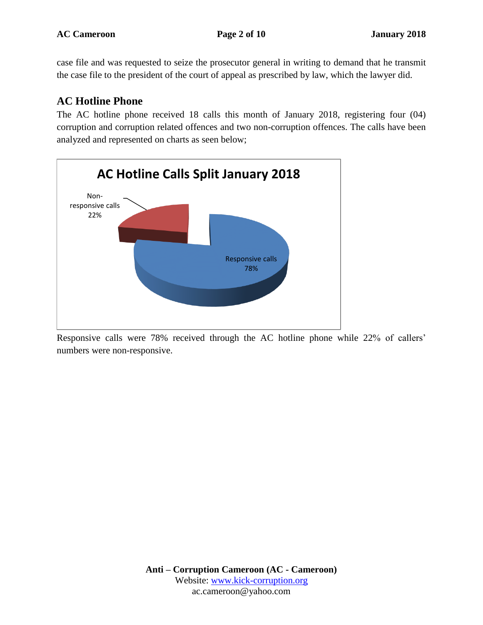case file and was requested to seize the prosecutor general in writing to demand that he transmit the case file to the president of the court of appeal as prescribed by law, which the lawyer did.

## **AC Hotline Phone**

The AC hotline phone received 18 calls this month of January 2018, registering four (04) corruption and corruption related offences and two non-corruption offences. The calls have been analyzed and represented on charts as seen below;



Responsive calls were 78% received through the AC hotline phone while 22% of callers' numbers were non-responsive.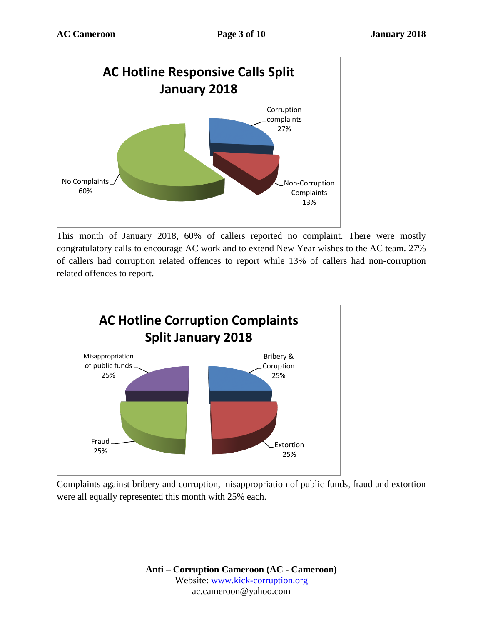

This month of January 2018, 60% of callers reported no complaint. There were mostly congratulatory calls to encourage AC work and to extend New Year wishes to the AC team. 27% of callers had corruption related offences to report while 13% of callers had non-corruption related offences to report.



Complaints against bribery and corruption, misappropriation of public funds, fraud and extortion were all equally represented this month with 25% each.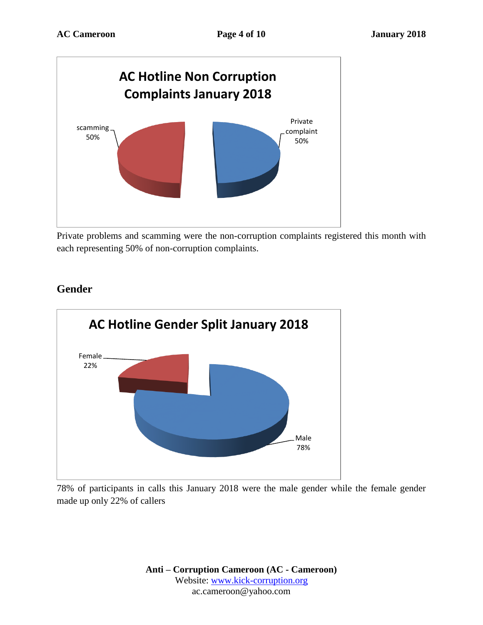

Private problems and scamming were the non-corruption complaints registered this month with each representing 50% of non-corruption complaints.



### **Gender**

78% of participants in calls this January 2018 were the male gender while the female gender made up only 22% of callers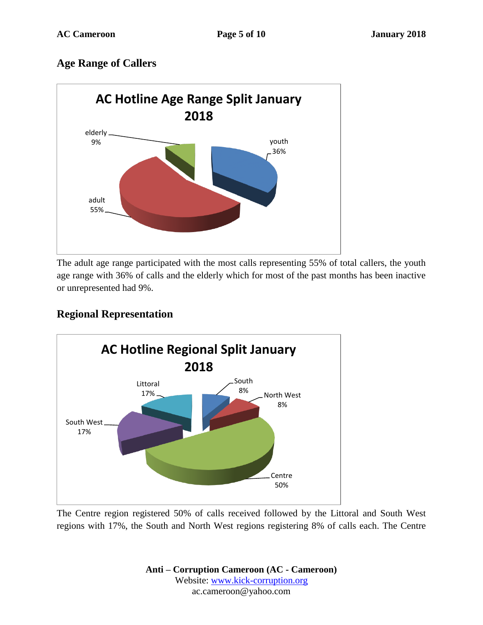### **Age Range of Callers**



The adult age range participated with the most calls representing 55% of total callers, the youth age range with 36% of calls and the elderly which for most of the past months has been inactive or unrepresented had 9%.

### **Regional Representation**



The Centre region registered 50% of calls received followed by the Littoral and South West regions with 17%, the South and North West regions registering 8% of calls each. The Centre

> **Anti – Corruption Cameroon (AC - Cameroon)** Website: [www.kick-corruption.org](http://www.kick-corruption.org/) ac.cameroon@yahoo.com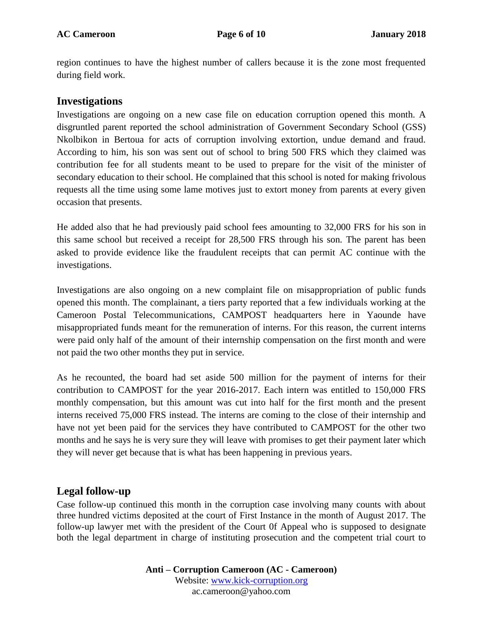region continues to have the highest number of callers because it is the zone most frequented during field work.

#### **Investigations**

Investigations are ongoing on a new case file on education corruption opened this month. A disgruntled parent reported the school administration of Government Secondary School (GSS) Nkolbikon in Bertoua for acts of corruption involving extortion, undue demand and fraud. According to him, his son was sent out of school to bring 500 FRS which they claimed was contribution fee for all students meant to be used to prepare for the visit of the minister of secondary education to their school. He complained that this school is noted for making frivolous requests all the time using some lame motives just to extort money from parents at every given occasion that presents.

He added also that he had previously paid school fees amounting to 32,000 FRS for his son in this same school but received a receipt for 28,500 FRS through his son. The parent has been asked to provide evidence like the fraudulent receipts that can permit AC continue with the investigations.

Investigations are also ongoing on a new complaint file on misappropriation of public funds opened this month. The complainant, a tiers party reported that a few individuals working at the Cameroon Postal Telecommunications, CAMPOST headquarters here in Yaounde have misappropriated funds meant for the remuneration of interns. For this reason, the current interns were paid only half of the amount of their internship compensation on the first month and were not paid the two other months they put in service.

As he recounted, the board had set aside 500 million for the payment of interns for their contribution to CAMPOST for the year 2016-2017. Each intern was entitled to 150,000 FRS monthly compensation, but this amount was cut into half for the first month and the present interns received 75,000 FRS instead. The interns are coming to the close of their internship and have not yet been paid for the services they have contributed to CAMPOST for the other two months and he says he is very sure they will leave with promises to get their payment later which they will never get because that is what has been happening in previous years.

#### **Legal follow-up**

Case follow-up continued this month in the corruption case involving many counts with about three hundred victims deposited at the court of First Instance in the month of August 2017. The follow-up lawyer met with the president of the Court 0f Appeal who is supposed to designate both the legal department in charge of instituting prosecution and the competent trial court to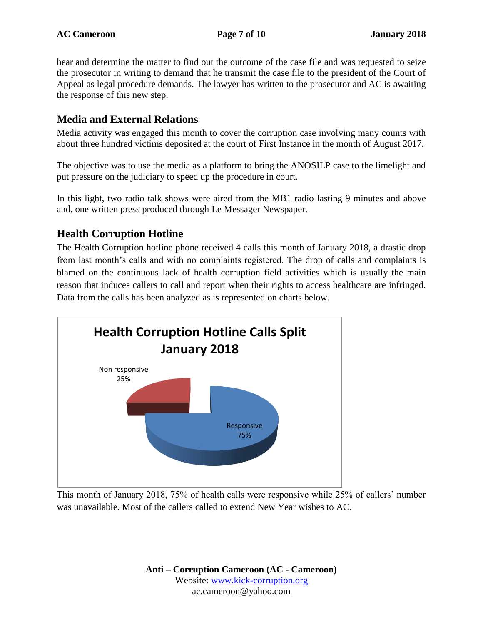hear and determine the matter to find out the outcome of the case file and was requested to seize the prosecutor in writing to demand that he transmit the case file to the president of the Court of Appeal as legal procedure demands. The lawyer has written to the prosecutor and AC is awaiting the response of this new step.

#### **Media and External Relations**

Media activity was engaged this month to cover the corruption case involving many counts with about three hundred victims deposited at the court of First Instance in the month of August 2017.

The objective was to use the media as a platform to bring the ANOSILP case to the limelight and put pressure on the judiciary to speed up the procedure in court.

In this light, two radio talk shows were aired from the MB1 radio lasting 9 minutes and above and, one written press produced through Le Messager Newspaper.

### **Health Corruption Hotline**

The Health Corruption hotline phone received 4 calls this month of January 2018, a drastic drop from last month's calls and with no complaints registered. The drop of calls and complaints is blamed on the continuous lack of health corruption field activities which is usually the main reason that induces callers to call and report when their rights to access healthcare are infringed. Data from the calls has been analyzed as is represented on charts below.



This month of January 2018, 75% of health calls were responsive while 25% of callers' number was unavailable. Most of the callers called to extend New Year wishes to AC.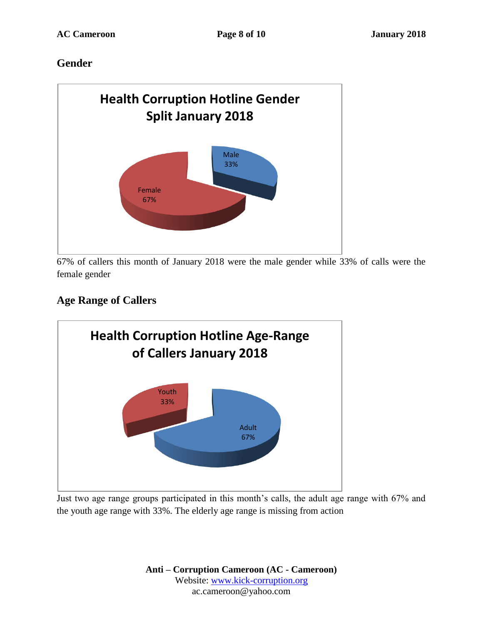### **Gender**



67% of callers this month of January 2018 were the male gender while 33% of calls were the female gender

# **Age Range of Callers**



Just two age range groups participated in this month's calls, the adult age range with 67% and the youth age range with 33%. The elderly age range is missing from action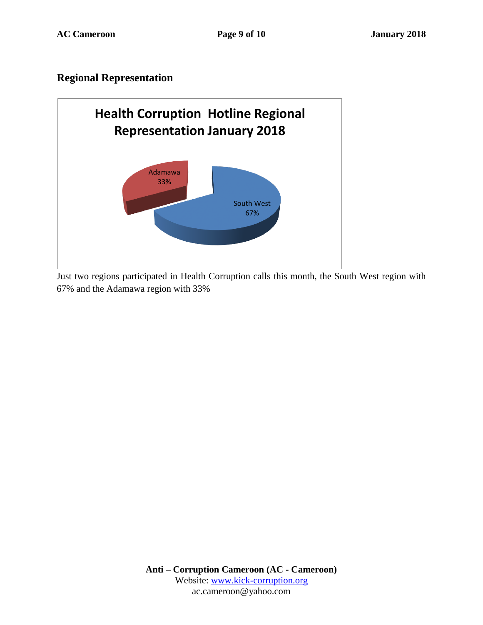### **Regional Representation**



Just two regions participated in Health Corruption calls this month, the South West region with 67% and the Adamawa region with 33%